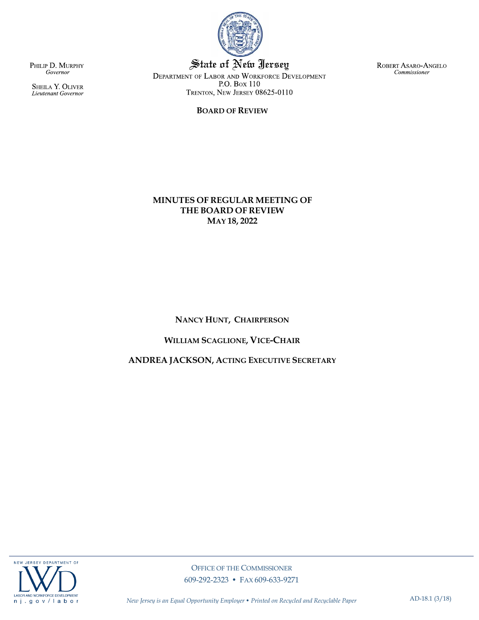

State of New Jersey DEPARTMENT OF LABOR AND WORKFORCE DEVELOPMENT P.O. Box 110 TRENTON, NEW JERSEY 08625-0110

### **BOARD OF REVIEW**

ROBERT ASARO-ANGELO Commissioner

PHILIP D. MURPHY Governor

SHEILA Y. OLIVER<br>Lieutenant Governor

## **MINUTES OF REGULAR MEETING OF THE BOARD OF REVIEW MAY 18, 2022**

## **NANCY HUNT, CHAIRPERSON**

## **WILLIAM SCAGLIONE, VICE-CHAIR**

## **ANDREA JACKSON, ACTING EXECUTIVE SECRETARY**

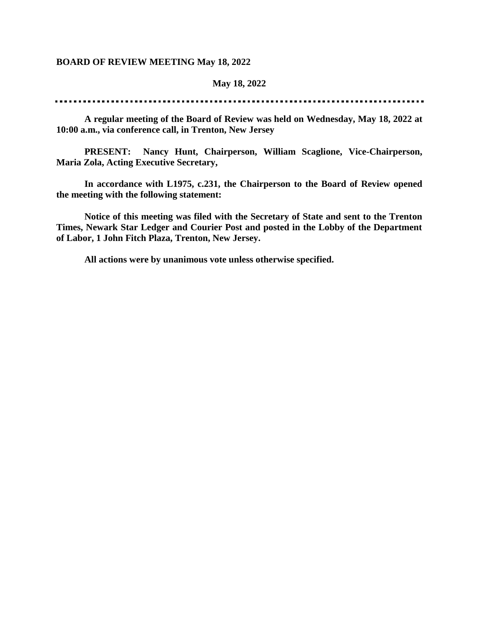### **BOARD OF REVIEW MEETING May 18, 2022**

### **May 18, 2022**

**A regular meeting of the Board of Review was held on Wednesday, May 18, 2022 at 10:00 a.m., via conference call, in Trenton, New Jersey**

**PRESENT: Nancy Hunt, Chairperson, William Scaglione, Vice-Chairperson, Maria Zola, Acting Executive Secretary,** 

**In accordance with L1975, c.231, the Chairperson to the Board of Review opened the meeting with the following statement:**

**Notice of this meeting was filed with the Secretary of State and sent to the Trenton Times, Newark Star Ledger and Courier Post and posted in the Lobby of the Department of Labor, 1 John Fitch Plaza, Trenton, New Jersey.**

**All actions were by unanimous vote unless otherwise specified.**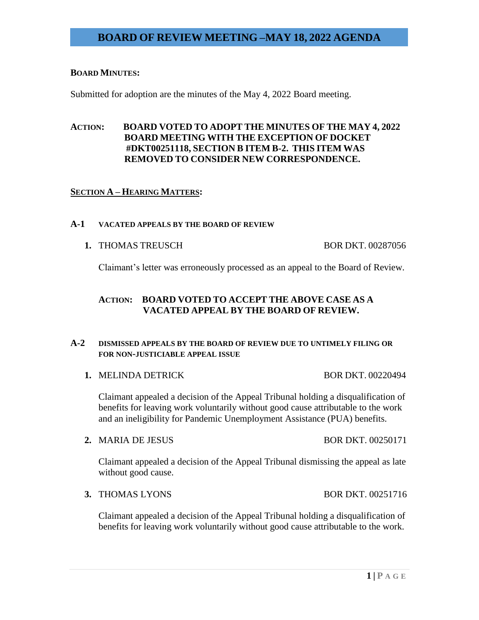### **BOARD MINUTES:**

Submitted for adoption are the minutes of the May 4, 2022 Board meeting.

## **ACTION: BOARD VOTED TO ADOPT THE MINUTES OF THE MAY 4, 2022 BOARD MEETING WITH THE EXCEPTION OF DOCKET #DKT00251118, SECTION B ITEM B-2. THIS ITEM WAS REMOVED TO CONSIDER NEW CORRESPONDENCE.**

## **SECTION A – HEARING MATTERS:**

#### **A-1 VACATED APPEALS BY THE BOARD OF REVIEW**

**1. THOMAS TREUSCH BOR DKT. 00287056** 

Claimant's letter was erroneously processed as an appeal to the Board of Review.

## **ACTION: BOARD VOTED TO ACCEPT THE ABOVE CASE AS A VACATED APPEAL BY THE BOARD OF REVIEW.**

## **A-2 DISMISSED APPEALS BY THE BOARD OF REVIEW DUE TO UNTIMELY FILING OR FOR NON-JUSTICIABLE APPEAL ISSUE**

**1. MELINDA DETRICK BOR DKT. 00220494** 

Claimant appealed a decision of the Appeal Tribunal holding a disqualification of benefits for leaving work voluntarily without good cause attributable to the work and an ineligibility for Pandemic Unemployment Assistance (PUA) benefits.

**2.** MARIA DE JESUS BOR DKT. 00250171

Claimant appealed a decision of the Appeal Tribunal dismissing the appeal as late without good cause.

**3.** THOMAS LYONS BOR DKT. 00251716

Claimant appealed a decision of the Appeal Tribunal holding a disqualification of benefits for leaving work voluntarily without good cause attributable to the work.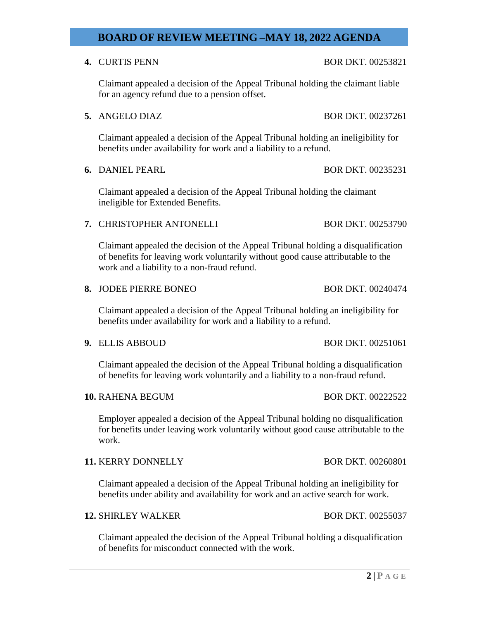## **4. CURTIS PENN BOR DKT. 00253821**

Claimant appealed a decision of the Appeal Tribunal holding the claimant liable for an agency refund due to a pension offset.

**5.** ANGELO DIAZ BOR DKT. 00237261

Claimant appealed a decision of the Appeal Tribunal holding an ineligibility for benefits under availability for work and a liability to a refund.

**6.** DANIEL PEARL BOR DKT. 00235231

Claimant appealed a decision of the Appeal Tribunal holding the claimant ineligible for Extended Benefits.

## **7. CHRISTOPHER ANTONELLI** BOR DKT. 00253790

Claimant appealed the decision of the Appeal Tribunal holding a disqualification of benefits for leaving work voluntarily without good cause attributable to the work and a liability to a non-fraud refund.

**8.** JODEE PIERRE BONEO BOR DKT. 00240474

Claimant appealed a decision of the Appeal Tribunal holding an ineligibility for benefits under availability for work and a liability to a refund.

**9.** ELLIS ABBOUD BOR DKT. 00251061

Claimant appealed the decision of the Appeal Tribunal holding a disqualification of benefits for leaving work voluntarily and a liability to a non-fraud refund.

**10.** RAHENA BEGUM BOR DKT. 00222522

Employer appealed a decision of the Appeal Tribunal holding no disqualification for benefits under leaving work voluntarily without good cause attributable to the work.

**11. KERRY DONNELLY BOR DKT. 00260801** 

Claimant appealed a decision of the Appeal Tribunal holding an ineligibility for benefits under ability and availability for work and an active search for work.

### **12.** SHIRLEY WALKER BOR DKT. 00255037

Claimant appealed the decision of the Appeal Tribunal holding a disqualification of benefits for misconduct connected with the work.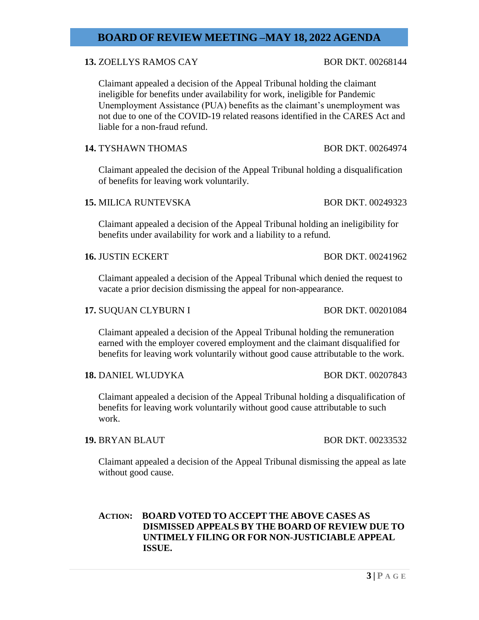## **13.** ZOELLYS RAMOS CAY BOR DKT. 00268144

Claimant appealed a decision of the Appeal Tribunal holding the claimant ineligible for benefits under availability for work, ineligible for Pandemic Unemployment Assistance (PUA) benefits as the claimant's unemployment was not due to one of the COVID-19 related reasons identified in the CARES Act and liable for a non-fraud refund.

## **14.** TYSHAWN THOMAS BOR DKT. 00264974

Claimant appealed the decision of the Appeal Tribunal holding a disqualification of benefits for leaving work voluntarily.

## **15.** MILICA RUNTEVSKA BOR DKT. 00249323

Claimant appealed a decision of the Appeal Tribunal holding an ineligibility for benefits under availability for work and a liability to a refund.

**16.** JUSTIN ECKERT BOR DKT. 00241962

Claimant appealed a decision of the Appeal Tribunal which denied the request to vacate a prior decision dismissing the appeal for non-appearance.

### **17.** SUQUAN CLYBURN I BOR DKT. 00201084

Claimant appealed a decision of the Appeal Tribunal holding the remuneration earned with the employer covered employment and the claimant disqualified for benefits for leaving work voluntarily without good cause attributable to the work.

## **18.** DANIEL WLUDYKA BOR DKT. 00207843

Claimant appealed a decision of the Appeal Tribunal holding a disqualification of benefits for leaving work voluntarily without good cause attributable to such work.

## **19.** BRYAN BLAUT BOR DKT. 00233532

Claimant appealed a decision of the Appeal Tribunal dismissing the appeal as late without good cause.

## **ACTION: BOARD VOTED TO ACCEPT THE ABOVE CASES AS DISMISSED APPEALS BY THE BOARD OF REVIEW DUE TO UNTIMELY FILING OR FOR NON-JUSTICIABLE APPEAL ISSUE.**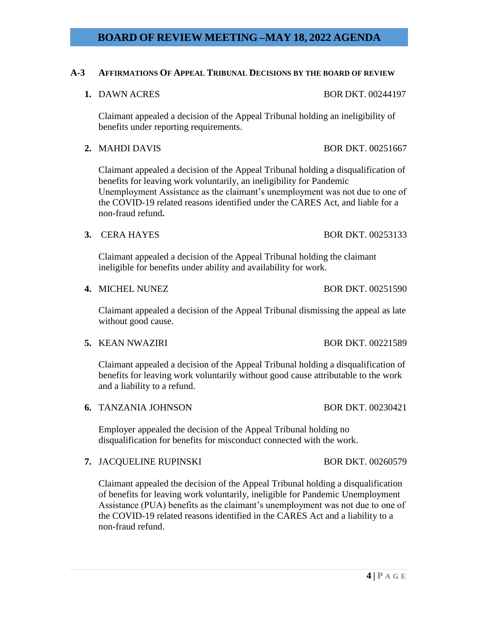### **A-3 AFFIRMATIONS OF APPEAL TRIBUNAL DECISIONS BY THE BOARD OF REVIEW**

**1. DAWN ACRES** BOR DKT. 00244197

Claimant appealed a decision of the Appeal Tribunal holding an ineligibility of benefits under reporting requirements.

**2.** MAHDI DAVIS BOR DKT. 00251667

Claimant appealed a decision of the Appeal Tribunal holding a disqualification of benefits for leaving work voluntarily, an ineligibility for Pandemic Unemployment Assistance as the claimant's unemployment was not due to one of the COVID-19 related reasons identified under the CARES Act, and liable for a non-fraud refund**.**

**3.** CERA HAYES BOR DKT. 00253133

Claimant appealed a decision of the Appeal Tribunal holding the claimant ineligible for benefits under ability and availability for work.

Claimant appealed a decision of the Appeal Tribunal dismissing the appeal as late without good cause.

**5.** KEAN NWAZIRI BOR DKT. 00221589

Claimant appealed a decision of the Appeal Tribunal holding a disqualification of benefits for leaving work voluntarily without good cause attributable to the work and a liability to a refund.

**6.** TANZANIA JOHNSON BOR DKT. 00230421

Employer appealed the decision of the Appeal Tribunal holding no disqualification for benefits for misconduct connected with the work.

**7.** JACQUELINE RUPINSKI BOR DKT. 00260579

Claimant appealed the decision of the Appeal Tribunal holding a disqualification of benefits for leaving work voluntarily, ineligible for Pandemic Unemployment Assistance (PUA) benefits as the claimant's unemployment was not due to one of the COVID-19 related reasons identified in the CARES Act and a liability to a non-fraud refund.

**4. MICHEL NUNEZ BOR DKT. 00251590**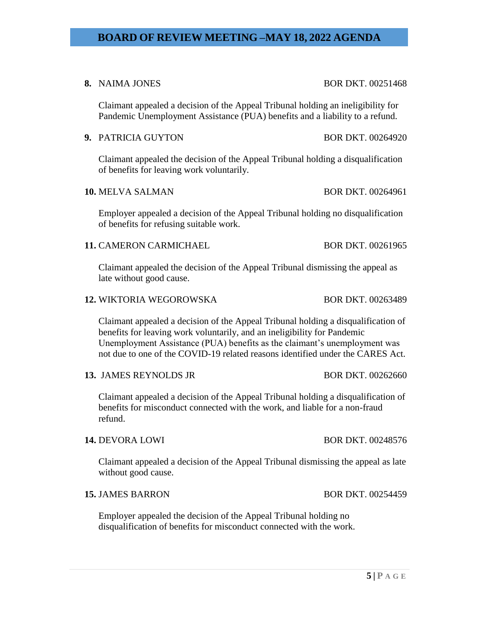**8.** NAIMA JONES BOR DKT. 00251468

Claimant appealed a decision of the Appeal Tribunal holding an ineligibility for Pandemic Unemployment Assistance (PUA) benefits and a liability to a refund.

## **9. PATRICIA GUYTON BOR DKT. 00264920**

Claimant appealed the decision of the Appeal Tribunal holding a disqualification of benefits for leaving work voluntarily.

### **10.** MELVA SALMAN BOR DKT. 00264961

Employer appealed a decision of the Appeal Tribunal holding no disqualification of benefits for refusing suitable work.

## **11. CAMERON CARMICHAEL BOR DKT. 00261965**

Claimant appealed the decision of the Appeal Tribunal dismissing the appeal as late without good cause.

#### **12.** WIKTORIA WEGOROWSKA BOR DKT. 00263489

Claimant appealed a decision of the Appeal Tribunal holding a disqualification of benefits for leaving work voluntarily, and an ineligibility for Pandemic Unemployment Assistance (PUA) benefits as the claimant's unemployment was not due to one of the COVID-19 related reasons identified under the CARES Act.

### **13.** JAMES REYNOLDS JR BOR DKT. 00262660

Claimant appealed a decision of the Appeal Tribunal holding a disqualification of benefits for misconduct connected with the work, and liable for a non-fraud refund.

Claimant appealed a decision of the Appeal Tribunal dismissing the appeal as late without good cause.

### **15.** JAMES BARRON BOR DKT. 00254459

Employer appealed the decision of the Appeal Tribunal holding no disqualification of benefits for misconduct connected with the work.

**14.** DEVORA LOWI BOR DKT. 00248576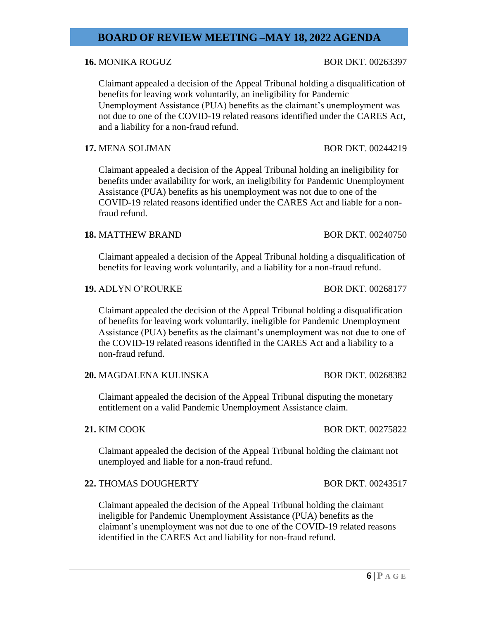## **16.** MONIKA ROGUZ BOR DKT. 00263397

Claimant appealed a decision of the Appeal Tribunal holding a disqualification of benefits for leaving work voluntarily, an ineligibility for Pandemic Unemployment Assistance (PUA) benefits as the claimant's unemployment was not due to one of the COVID-19 related reasons identified under the CARES Act, and a liability for a non-fraud refund.

## **17.** MENA SOLIMAN BOR DKT. 00244219

Claimant appealed a decision of the Appeal Tribunal holding an ineligibility for benefits under availability for work, an ineligibility for Pandemic Unemployment Assistance (PUA) benefits as his unemployment was not due to one of the COVID-19 related reasons identified under the CARES Act and liable for a nonfraud refund.

## **18.** MATTHEW BRAND BOR DKT. 00240750

Claimant appealed a decision of the Appeal Tribunal holding a disqualification of benefits for leaving work voluntarily, and a liability for a non-fraud refund.

#### **19.** ADLYN O'ROURKE BOR DKT. 00268177

Claimant appealed the decision of the Appeal Tribunal holding a disqualification of benefits for leaving work voluntarily, ineligible for Pandemic Unemployment Assistance (PUA) benefits as the claimant's unemployment was not due to one of the COVID-19 related reasons identified in the CARES Act and a liability to a non-fraud refund.

## **20.** MAGDALENA KULINSKA BOR DKT. 00268382

Claimant appealed the decision of the Appeal Tribunal disputing the monetary entitlement on a valid Pandemic Unemployment Assistance claim.

Claimant appealed the decision of the Appeal Tribunal holding the claimant not unemployed and liable for a non-fraud refund.

### **22.** THOMAS DOUGHERTY BOR DKT. 00243517

Claimant appealed the decision of the Appeal Tribunal holding the claimant ineligible for Pandemic Unemployment Assistance (PUA) benefits as the claimant's unemployment was not due to one of the COVID-19 related reasons identified in the CARES Act and liability for non-fraud refund.

## **21.** KIM COOK BOR DKT. 00275822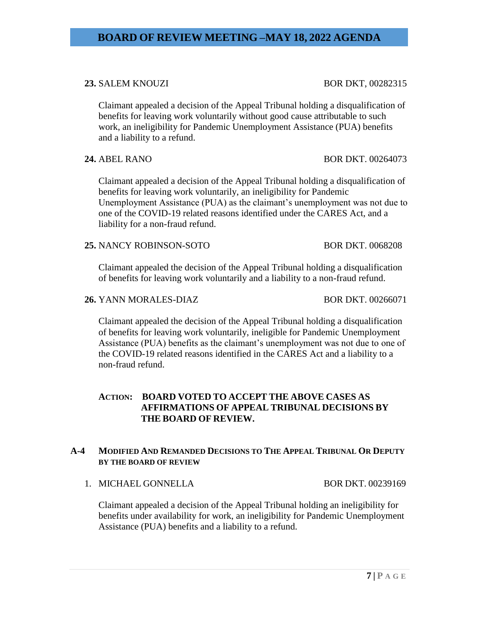## **23.** SALEM KNOUZI BOR DKT, 00282315

Claimant appealed a decision of the Appeal Tribunal holding a disqualification of benefits for leaving work voluntarily without good cause attributable to such work, an ineligibility for Pandemic Unemployment Assistance (PUA) benefits and a liability to a refund.

**24.** ABEL RANO BOR DKT. 00264073

Claimant appealed a decision of the Appeal Tribunal holding a disqualification of benefits for leaving work voluntarily, an ineligibility for Pandemic Unemployment Assistance (PUA) as the claimant's unemployment was not due to one of the COVID-19 related reasons identified under the CARES Act, and a liability for a non-fraud refund.

## **25.** NANCY ROBINSON-SOTO BOR DKT. 0068208

Claimant appealed the decision of the Appeal Tribunal holding a disqualification of benefits for leaving work voluntarily and a liability to a non-fraud refund.

#### **26.** YANN MORALES-DIAZ BOR DKT. 00266071

Claimant appealed the decision of the Appeal Tribunal holding a disqualification of benefits for leaving work voluntarily, ineligible for Pandemic Unemployment Assistance (PUA) benefits as the claimant's unemployment was not due to one of the COVID-19 related reasons identified in the CARES Act and a liability to a non-fraud refund.

## **ACTION: BOARD VOTED TO ACCEPT THE ABOVE CASES AS AFFIRMATIONS OF APPEAL TRIBUNAL DECISIONS BY THE BOARD OF REVIEW.**

## **A-4 MODIFIED AND REMANDED DECISIONS TO THE APPEAL TRIBUNAL OR DEPUTY BY THE BOARD OF REVIEW**

1. MICHAEL GONNELLA BOR DKT. 00239169

Claimant appealed a decision of the Appeal Tribunal holding an ineligibility for benefits under availability for work, an ineligibility for Pandemic Unemployment Assistance (PUA) benefits and a liability to a refund.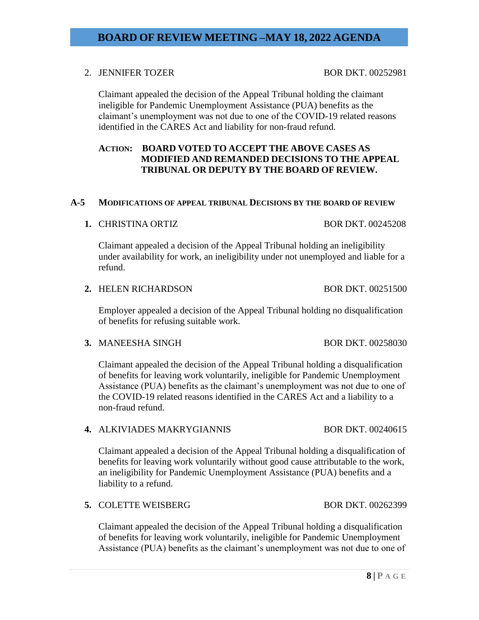## 2. JENNIFER TOZER BOR DKT. 00252981

Claimant appealed the decision of the Appeal Tribunal holding the claimant ineligible for Pandemic Unemployment Assistance (PUA) benefits as the claimant's unemployment was not due to one of the COVID-19 related reasons identified in the CARES Act and liability for non-fraud refund.

## **ACTION: BOARD VOTED TO ACCEPT THE ABOVE CASES AS MODIFIED AND REMANDED DECISIONS TO THE APPEAL TRIBUNAL OR DEPUTY BY THE BOARD OF REVIEW.**

## **A-5 MODIFICATIONS OF APPEAL TRIBUNAL DECISIONS BY THE BOARD OF REVIEW**

## **1. CHRISTINA ORTIZ** BOR DKT. 00245208

Claimant appealed a decision of the Appeal Tribunal holding an ineligibility under availability for work, an ineligibility under not unemployed and liable for a refund.

### **2.** HELEN RICHARDSON BOR DKT. 00251500

Employer appealed a decision of the Appeal Tribunal holding no disqualification of benefits for refusing suitable work.

**3.** MANEESHA SINGH BOR DKT. 00258030

Claimant appealed the decision of the Appeal Tribunal holding a disqualification of benefits for leaving work voluntarily, ineligible for Pandemic Unemployment Assistance (PUA) benefits as the claimant's unemployment was not due to one of the COVID-19 related reasons identified in the CARES Act and a liability to a non-fraud refund.

## **4. ALKIVIADES MAKRYGIANNIS BOR DKT. 00240615**

Claimant appealed a decision of the Appeal Tribunal holding a disqualification of benefits for leaving work voluntarily without good cause attributable to the work, an ineligibility for Pandemic Unemployment Assistance (PUA) benefits and a liability to a refund.

## **5.** COLETTE WEISBERG BOR DKT. 00262399

Claimant appealed the decision of the Appeal Tribunal holding a disqualification of benefits for leaving work voluntarily, ineligible for Pandemic Unemployment Assistance (PUA) benefits as the claimant's unemployment was not due to one of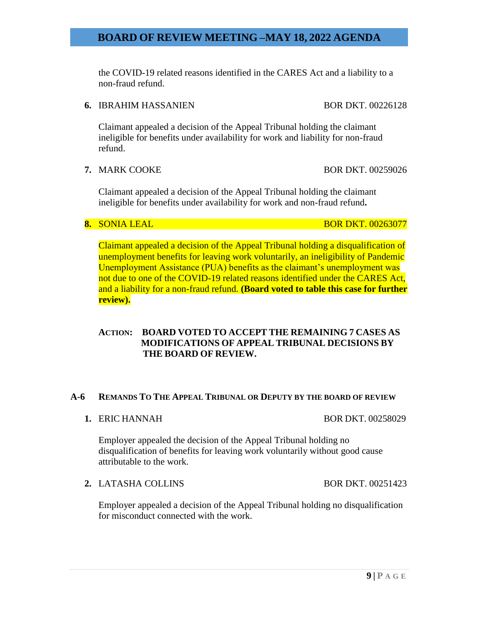the COVID-19 related reasons identified in the CARES Act and a liability to a non-fraud refund.

## **6.** IBRAHIM HASSANIEN BOR DKT. 00226128

Claimant appealed a decision of the Appeal Tribunal holding the claimant ineligible for benefits under availability for work and liability for non-fraud refund.

## **7.** MARK COOKE BOR DKT. 00259026

Claimant appealed a decision of the Appeal Tribunal holding the claimant ineligible for benefits under availability for work and non-fraud refund**.**

**8.** SONIA LEAL BOR DKT. 00263077

Claimant appealed a decision of the Appeal Tribunal holding a disqualification of unemployment benefits for leaving work voluntarily, an ineligibility of Pandemic Unemployment Assistance (PUA) benefits as the claimant's unemployment was not due to one of the COVID-19 related reasons identified under the CARES Act, and a liability for a non-fraud refund. **(Board voted to table this case for further review).**

## **ACTION: BOARD VOTED TO ACCEPT THE REMAINING 7 CASES AS MODIFICATIONS OF APPEAL TRIBUNAL DECISIONS BY THE BOARD OF REVIEW.**

## **A-6 REMANDS TO THE APPEAL TRIBUNAL OR DEPUTY BY THE BOARD OF REVIEW**

**1. ERIC HANNAH BOR DKT. 00258029** 

Employer appealed the decision of the Appeal Tribunal holding no disqualification of benefits for leaving work voluntarily without good cause attributable to the work.

**2.** LATASHA COLLINS BOR DKT. 00251423

Employer appealed a decision of the Appeal Tribunal holding no disqualification for misconduct connected with the work.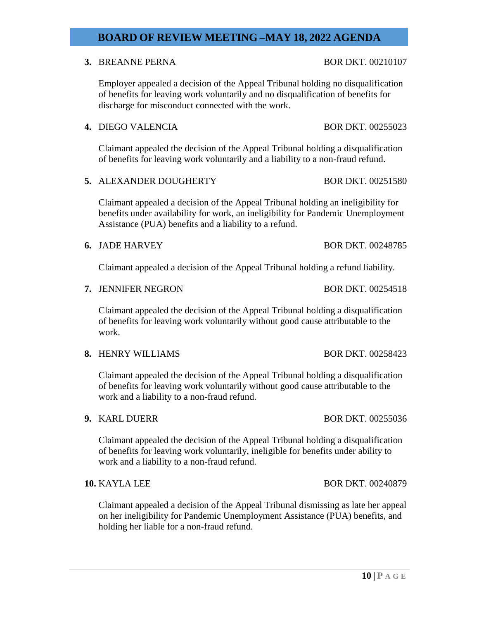### **10 | P A G E**

# **BOARD OF REVIEW MEETING –MAY 18, 2022 AGENDA**

# **3.** BREANNE PERNA BOR DKT. 00210107

Employer appealed a decision of the Appeal Tribunal holding no disqualification of benefits for leaving work voluntarily and no disqualification of benefits for discharge for misconduct connected with the work.

**4.** DIEGO VALENCIA BOR DKT. 00255023

Claimant appealed the decision of the Appeal Tribunal holding a disqualification of benefits for leaving work voluntarily and a liability to a non-fraud refund.

**5. ALEXANDER DOUGHERTY** BOR DKT. 00251580

Claimant appealed a decision of the Appeal Tribunal holding an ineligibility for benefits under availability for work, an ineligibility for Pandemic Unemployment Assistance (PUA) benefits and a liability to a refund.

**6.** JADE HARVEY BOR DKT. 00248785

Claimant appealed a decision of the Appeal Tribunal holding a refund liability.

**7.** JENNIFER NEGRON BOR DKT. 00254518

Claimant appealed the decision of the Appeal Tribunal holding a disqualification of benefits for leaving work voluntarily without good cause attributable to the work.

**8.** HENRY WILLIAMS BOR DKT. 00258423

Claimant appealed the decision of the Appeal Tribunal holding a disqualification of benefits for leaving work voluntarily without good cause attributable to the work and a liability to a non-fraud refund.

**9.** KARL DUERR BOR DKT. 00255036

Claimant appealed the decision of the Appeal Tribunal holding a disqualification of benefits for leaving work voluntarily, ineligible for benefits under ability to work and a liability to a non-fraud refund.

## **10.** KAYLA LEE BOR DKT. 00240879

Claimant appealed a decision of the Appeal Tribunal dismissing as late her appeal on her ineligibility for Pandemic Unemployment Assistance (PUA) benefits, and holding her liable for a non-fraud refund.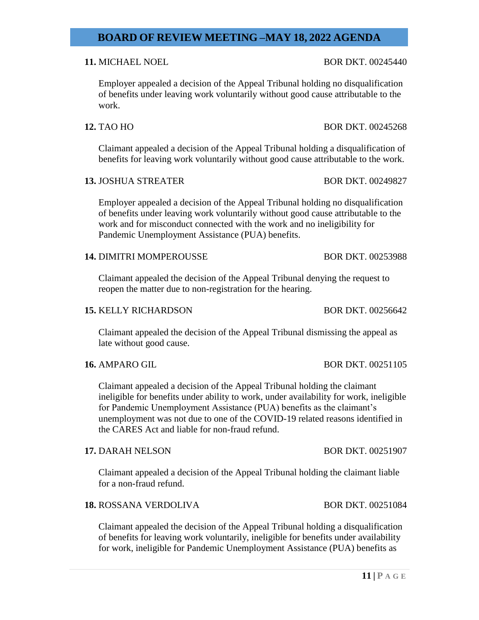## **11. MICHAEL NOEL BOR DKT. 00245440**

Employer appealed a decision of the Appeal Tribunal holding no disqualification of benefits under leaving work voluntarily without good cause attributable to the work.

Claimant appealed a decision of the Appeal Tribunal holding a disqualification of benefits for leaving work voluntarily without good cause attributable to the work.

## **13.** JOSHUA STREATER BOR DKT. 00249827

Employer appealed a decision of the Appeal Tribunal holding no disqualification of benefits under leaving work voluntarily without good cause attributable to the work and for misconduct connected with the work and no ineligibility for Pandemic Unemployment Assistance (PUA) benefits.

### **14.** DIMITRI MOMPEROUSSE BOR DKT. 00253988

Claimant appealed the decision of the Appeal Tribunal denying the request to reopen the matter due to non-registration for the hearing.

### **15.** KELLY RICHARDSON BOR DKT. 00256642

Claimant appealed the decision of the Appeal Tribunal dismissing the appeal as late without good cause.

### **16.** AMPARO GIL BOR DKT. 00251105

Claimant appealed a decision of the Appeal Tribunal holding the claimant ineligible for benefits under ability to work, under availability for work, ineligible for Pandemic Unemployment Assistance (PUA) benefits as the claimant's unemployment was not due to one of the COVID-19 related reasons identified in the CARES Act and liable for non-fraud refund.

### **17.** DARAH NELSON BOR DKT. 00251907

Claimant appealed a decision of the Appeal Tribunal holding the claimant liable for a non-fraud refund.

### **18.** ROSSANA VERDOLIVA BOR DKT. 00251084

Claimant appealed the decision of the Appeal Tribunal holding a disqualification of benefits for leaving work voluntarily, ineligible for benefits under availability for work, ineligible for Pandemic Unemployment Assistance (PUA) benefits as

#### **11 | P A G E**

# **12.** TAO HO BOR DKT. 00245268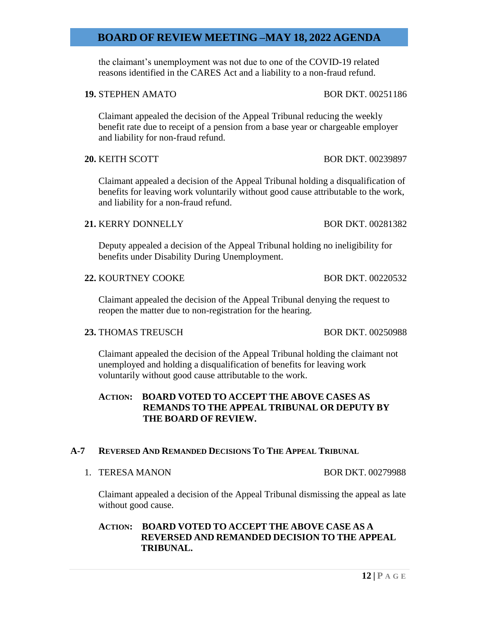the claimant's unemployment was not due to one of the COVID-19 related reasons identified in the CARES Act and a liability to a non-fraud refund.

Claimant appealed the decision of the Appeal Tribunal reducing the weekly benefit rate due to receipt of a pension from a base year or chargeable employer and liability for non-fraud refund.

**20.** KEITH SCOTT **BOR DKT. 00239897** 

Claimant appealed a decision of the Appeal Tribunal holding a disqualification of benefits for leaving work voluntarily without good cause attributable to the work, and liability for a non-fraud refund.

## **21.** KERRY DONNELLY BOR DKT. 00281382

Deputy appealed a decision of the Appeal Tribunal holding no ineligibility for benefits under Disability During Unemployment.

**22.** KOURTNEY COOKE BOR DKT. 00220532

Claimant appealed the decision of the Appeal Tribunal denying the request to reopen the matter due to non-registration for the hearing.

### **23.** THOMAS TREUSCH BOR DKT. 00250988

Claimant appealed the decision of the Appeal Tribunal holding the claimant not unemployed and holding a disqualification of benefits for leaving work voluntarily without good cause attributable to the work.

## **ACTION: BOARD VOTED TO ACCEPT THE ABOVE CASES AS REMANDS TO THE APPEAL TRIBUNAL OR DEPUTY BY THE BOARD OF REVIEW.**

## **A-7 REVERSED AND REMANDED DECISIONS TO THE APPEAL TRIBUNAL**

1. TERESA MANON BOR DKT. 00279988

Claimant appealed a decision of the Appeal Tribunal dismissing the appeal as late without good cause.

# **ACTION: BOARD VOTED TO ACCEPT THE ABOVE CASE AS A REVERSED AND REMANDED DECISION TO THE APPEAL TRIBUNAL.**

### **12 | P A G E**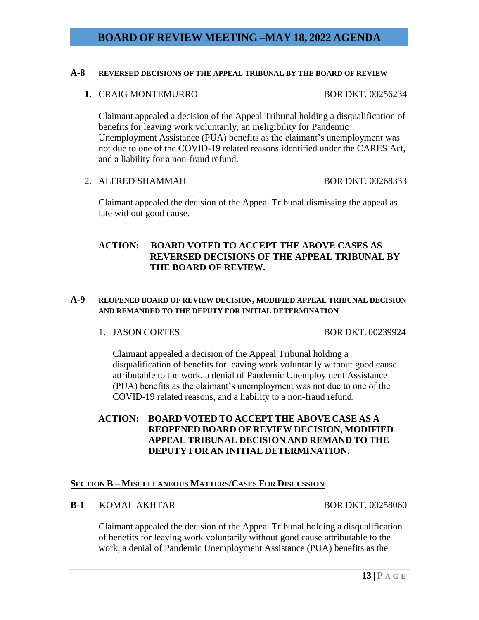### **A-8 REVERSED DECISIONS OF THE APPEAL TRIBUNAL BY THE BOARD OF REVIEW**

**1. CRAIG MONTEMURRO BOR DKT. 00256234** 

Claimant appealed a decision of the Appeal Tribunal holding a disqualification of benefits for leaving work voluntarily, an ineligibility for Pandemic Unemployment Assistance (PUA) benefits as the claimant's unemployment was not due to one of the COVID-19 related reasons identified under the CARES Act, and a liability for a non-fraud refund.

2. ALFRED SHAMMAH BOR DKT. 00268333

Claimant appealed the decision of the Appeal Tribunal dismissing the appeal as late without good cause.

# **ACTION: BOARD VOTED TO ACCEPT THE ABOVE CASES AS REVERSED DECISIONS OF THE APPEAL TRIBUNAL BY THE BOARD OF REVIEW.**

## **A-9 REOPENED BOARD OF REVIEW DECISION, MODIFIED APPEAL TRIBUNAL DECISION AND REMANDED TO THE DEPUTY FOR INITIAL DETERMINATION**

1. JASON CORTES BOR DKT. 00239924

Claimant appealed a decision of the Appeal Tribunal holding a disqualification of benefits for leaving work voluntarily without good cause attributable to the work, a denial of Pandemic Unemployment Assistance (PUA) benefits as the claimant's unemployment was not due to one of the COVID-19 related reasons, and a liability to a non-fraud refund.

## **ACTION: BOARD VOTED TO ACCEPT THE ABOVE CASE AS A REOPENED BOARD OF REVIEW DECISION, MODIFIED APPEAL TRIBUNAL DECISION AND REMAND TO THE DEPUTY FOR AN INITIAL DETERMINATION.**

## **SECTION B – MISCELLANEOUS MATTERS/CASES FOR DISCUSSION**

**B-1 KOMAL AKHTAR** BOR DKT. 00258060

Claimant appealed the decision of the Appeal Tribunal holding a disqualification of benefits for leaving work voluntarily without good cause attributable to the work, a denial of Pandemic Unemployment Assistance (PUA) benefits as the